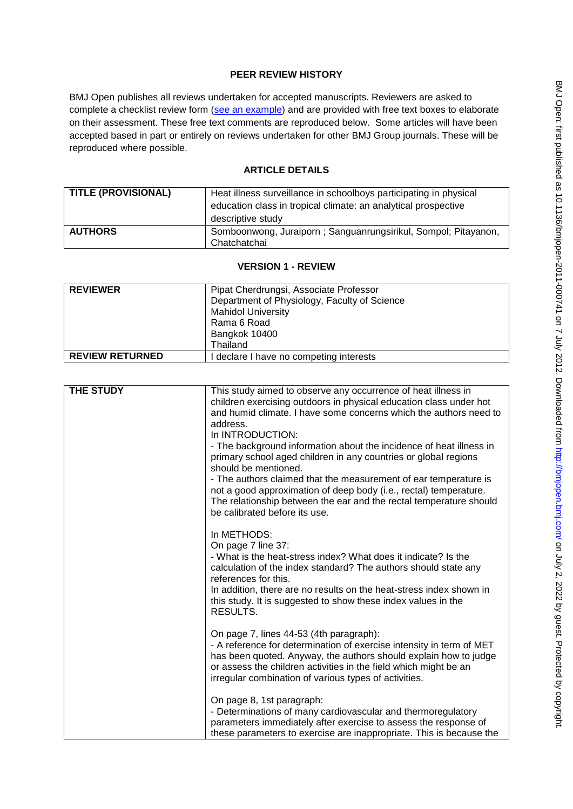# **PEER REVIEW HISTORY**

BMJ Open publishes all reviews undertaken for accepted manuscripts. Reviewers are asked to complete a checklist review form [\(see an example\)](http://bmjopen.bmj.com/site/about/resources/ScholarOne_Manuscripts.pdf) and are provided with free text boxes to elaborate on their assessment. These free text comments are reproduced below. Some articles will have been accepted based in part or entirely on reviews undertaken for other BMJ Group journals. These will be reproduced where possible.

# **ARTICLE DETAILS**

| <b>TITLE (PROVISIONAL)</b> | Heat illness surveillance in schoolboys participating in physical<br>education class in tropical climate: an analytical prospective |
|----------------------------|-------------------------------------------------------------------------------------------------------------------------------------|
|                            | descriptive study                                                                                                                   |
| <b>AUTHORS</b>             | Somboonwong, Juraiporn; Sanguanrungsirikul, Sompol; Pitayanon,<br>Chatchatchai                                                      |

### **VERSION 1 - REVIEW**

| <b>REVIEWER</b>        | Pipat Cherdrungsi, Associate Professor<br>Department of Physiology, Faculty of Science<br><b>Mahidol University</b><br>Rama 6 Road<br>Bangkok 10400<br>Thailand |
|------------------------|-----------------------------------------------------------------------------------------------------------------------------------------------------------------|
| <b>REVIEW RETURNED</b> | declare I have no competing interests                                                                                                                           |

| <b>THE STUDY</b> | This study aimed to observe any occurrence of heat illness in<br>children exercising outdoors in physical education class under hot<br>and humid climate. I have some concerns which the authors need to<br>address.<br>In INTRODUCTION:<br>- The background information about the incidence of heat illness in<br>primary school aged children in any countries or global regions<br>should be mentioned.<br>- The authors claimed that the measurement of ear temperature is<br>not a good approximation of deep body (i.e., rectal) temperature.<br>The relationship between the ear and the rectal temperature should<br>be calibrated before its use. |
|------------------|------------------------------------------------------------------------------------------------------------------------------------------------------------------------------------------------------------------------------------------------------------------------------------------------------------------------------------------------------------------------------------------------------------------------------------------------------------------------------------------------------------------------------------------------------------------------------------------------------------------------------------------------------------|
|                  | In METHODS:<br>On page 7 line 37:<br>- What is the heat-stress index? What does it indicate? Is the<br>calculation of the index standard? The authors should state any<br>references for this.<br>In addition, there are no results on the heat-stress index shown in<br>this study. It is suggested to show these index values in the<br>RESULTS.                                                                                                                                                                                                                                                                                                         |
|                  | On page 7, lines 44-53 (4th paragraph):<br>- A reference for determination of exercise intensity in term of MET<br>has been quoted. Anyway, the authors should explain how to judge<br>or assess the children activities in the field which might be an<br>irregular combination of various types of activities.                                                                                                                                                                                                                                                                                                                                           |
|                  | On page 8, 1st paragraph:<br>- Determinations of many cardiovascular and thermoregulatory<br>parameters immediately after exercise to assess the response of<br>these parameters to exercise are inappropriate. This is because the                                                                                                                                                                                                                                                                                                                                                                                                                        |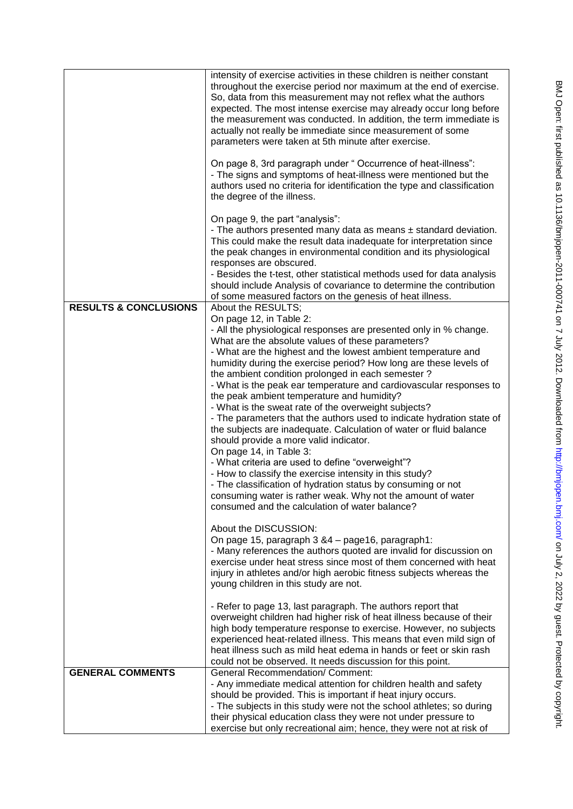|                                  | intensity of exercise activities in these children is neither constant<br>throughout the exercise period nor maximum at the end of exercise.<br>So, data from this measurement may not reflex what the authors<br>expected. The most intense exercise may already occur long before<br>the measurement was conducted. In addition, the term immediate is<br>actually not really be immediate since measurement of some<br>parameters were taken at 5th minute after exercise.<br>On page 8, 3rd paragraph under "Occurrence of heat-illness":<br>- The signs and symptoms of heat-illness were mentioned but the<br>authors used no criteria for identification the type and classification<br>the degree of the illness.<br>On page 9, the part "analysis":<br>- The authors presented many data as means $\pm$ standard deviation.<br>This could make the result data inadequate for interpretation since<br>the peak changes in environmental condition and its physiological<br>responses are obscured.<br>- Besides the t-test, other statistical methods used for data analysis                                                                                                                                                                                                                                                                     |
|----------------------------------|-----------------------------------------------------------------------------------------------------------------------------------------------------------------------------------------------------------------------------------------------------------------------------------------------------------------------------------------------------------------------------------------------------------------------------------------------------------------------------------------------------------------------------------------------------------------------------------------------------------------------------------------------------------------------------------------------------------------------------------------------------------------------------------------------------------------------------------------------------------------------------------------------------------------------------------------------------------------------------------------------------------------------------------------------------------------------------------------------------------------------------------------------------------------------------------------------------------------------------------------------------------------------------------------------------------------------------------------------------------|
|                                  | should include Analysis of covariance to determine the contribution                                                                                                                                                                                                                                                                                                                                                                                                                                                                                                                                                                                                                                                                                                                                                                                                                                                                                                                                                                                                                                                                                                                                                                                                                                                                                       |
| <b>RESULTS &amp; CONCLUSIONS</b> | of some measured factors on the genesis of heat illness.<br>About the RESULTS;<br>On page 12, in Table 2:<br>- All the physiological responses are presented only in % change.<br>What are the absolute values of these parameters?<br>- What are the highest and the lowest ambient temperature and<br>humidity during the exercise period? How long are these levels of<br>the ambient condition prolonged in each semester?<br>- What is the peak ear temperature and cardiovascular responses to<br>the peak ambient temperature and humidity?<br>- What is the sweat rate of the overweight subjects?<br>- The parameters that the authors used to indicate hydration state of<br>the subjects are inadequate. Calculation of water or fluid balance<br>should provide a more valid indicator.<br>On page 14, in Table 3:<br>- What criteria are used to define "overweight"?<br>- How to classify the exercise intensity in this study?<br>- The classification of hydration status by consuming or not<br>consuming water is rather weak. Why not the amount of water<br>consumed and the calculation of water balance?<br>About the DISCUSSION:<br>On page 15, paragraph 3 & 4 - page 16, paragraph 1:<br>- Many references the authors quoted are invalid for discussion on<br>exercise under heat stress since most of them concerned with heat |
| <b>GENERAL COMMENTS</b>          | injury in athletes and/or high aerobic fitness subjects whereas the<br>young children in this study are not.<br>- Refer to page 13, last paragraph. The authors report that<br>overweight children had higher risk of heat illness because of their<br>high body temperature response to exercise. However, no subjects<br>experienced heat-related illness. This means that even mild sign of<br>heat illness such as mild heat edema in hands or feet or skin rash<br>could not be observed. It needs discussion for this point.<br><b>General Recommendation/ Comment:</b><br>- Any immediate medical attention for children health and safety<br>should be provided. This is important if heat injury occurs.<br>- The subjects in this study were not the school athletes; so during<br>their physical education class they were not under pressure to<br>exercise but only recreational aim; hence, they were not at risk of                                                                                                                                                                                                                                                                                                                                                                                                                        |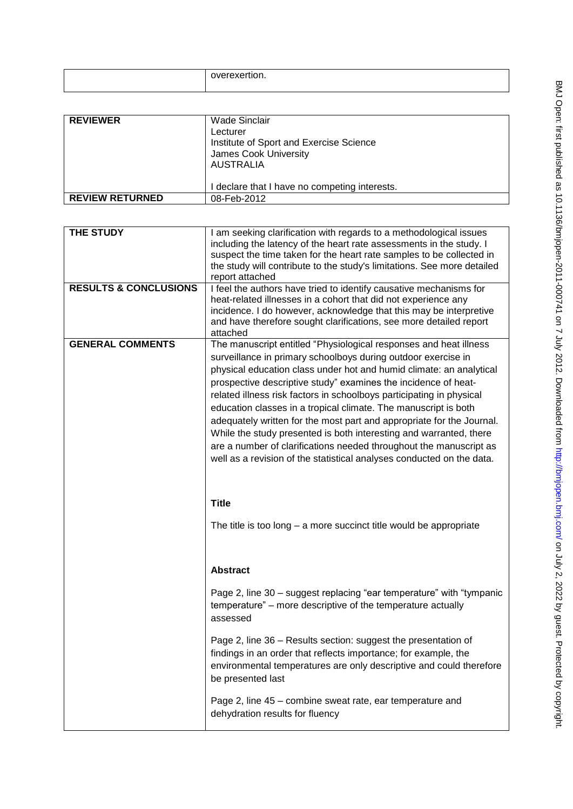| <b>REVIEWER</b>        | Wade Sinclair<br>Lecturer<br>Institute of Sport and Exercise Science<br>James Cook University<br><b>AUSTRALIA</b> |
|------------------------|-------------------------------------------------------------------------------------------------------------------|
|                        | I declare that I have no competing interests.                                                                     |
| <b>REVIEW RETURNED</b> | 08-Feb-2012                                                                                                       |

| THE STUDY<br><b>RESULTS &amp; CONCLUSIONS</b> | I am seeking clarification with regards to a methodological issues<br>including the latency of the heart rate assessments in the study. I<br>suspect the time taken for the heart rate samples to be collected in<br>the study will contribute to the study's limitations. See more detailed<br>report attached<br>I feel the authors have tried to identify causative mechanisms for<br>heat-related illnesses in a cohort that did not experience any<br>incidence. I do however, acknowledge that this may be interpretive<br>and have therefore sought clarifications, see more detailed report<br>attached                                                                                                      |
|-----------------------------------------------|----------------------------------------------------------------------------------------------------------------------------------------------------------------------------------------------------------------------------------------------------------------------------------------------------------------------------------------------------------------------------------------------------------------------------------------------------------------------------------------------------------------------------------------------------------------------------------------------------------------------------------------------------------------------------------------------------------------------|
| <b>GENERAL COMMENTS</b>                       | The manuscript entitled "Physiological responses and heat illness<br>surveillance in primary schoolboys during outdoor exercise in<br>physical education class under hot and humid climate: an analytical<br>prospective descriptive study" examines the incidence of heat-<br>related illness risk factors in schoolboys participating in physical<br>education classes in a tropical climate. The manuscript is both<br>adequately written for the most part and appropriate for the Journal.<br>While the study presented is both interesting and warranted, there<br>are a number of clarifications needed throughout the manuscript as<br>well as a revision of the statistical analyses conducted on the data. |
|                                               | <b>Title</b><br>The title is too long $-$ a more succinct title would be appropriate                                                                                                                                                                                                                                                                                                                                                                                                                                                                                                                                                                                                                                 |
|                                               | <b>Abstract</b>                                                                                                                                                                                                                                                                                                                                                                                                                                                                                                                                                                                                                                                                                                      |
|                                               | Page 2, line 30 - suggest replacing "ear temperature" with "tympanic<br>temperature" – more descriptive of the temperature actually<br>assessed                                                                                                                                                                                                                                                                                                                                                                                                                                                                                                                                                                      |
|                                               | Page 2, line 36 - Results section: suggest the presentation of<br>findings in an order that reflects importance; for example, the<br>environmental temperatures are only descriptive and could therefore<br>be presented last                                                                                                                                                                                                                                                                                                                                                                                                                                                                                        |
|                                               | Page 2, line 45 – combine sweat rate, ear temperature and<br>dehydration results for fluency                                                                                                                                                                                                                                                                                                                                                                                                                                                                                                                                                                                                                         |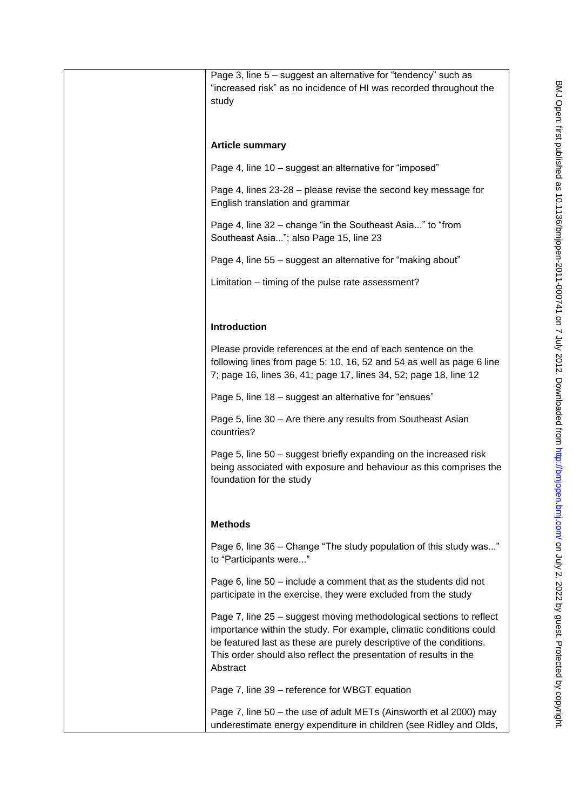| Page 3, line 5 - suggest an alternative for "tendency" such as<br>"increased risk" as no incidence of HI was recorded throughout the<br>study                                                                                                                                                      |
|----------------------------------------------------------------------------------------------------------------------------------------------------------------------------------------------------------------------------------------------------------------------------------------------------|
| <b>Article summary</b>                                                                                                                                                                                                                                                                             |
| Page 4, line 10 - suggest an alternative for "imposed"                                                                                                                                                                                                                                             |
| Page 4, lines 23-28 – please revise the second key message for<br>English translation and grammar                                                                                                                                                                                                  |
| Page 4, line 32 – change "in the Southeast Asia" to "from<br>Southeast Asia"; also Page 15, line 23                                                                                                                                                                                                |
| Page 4, line 55 - suggest an alternative for "making about"                                                                                                                                                                                                                                        |
| Limitation – timing of the pulse rate assessment?                                                                                                                                                                                                                                                  |
|                                                                                                                                                                                                                                                                                                    |
| Introduction                                                                                                                                                                                                                                                                                       |
| Please provide references at the end of each sentence on the<br>following lines from page 5: 10, 16, 52 and 54 as well as page 6 line<br>7; page 16, lines 36, 41; page 17, lines 34, 52; page 18, line 12                                                                                         |
| Page 5, line 18 - suggest an alternative for "ensues"                                                                                                                                                                                                                                              |
| Page 5, line 30 - Are there any results from Southeast Asian<br>countries?                                                                                                                                                                                                                         |
| Page 5, line 50 - suggest briefly expanding on the increased risk<br>being associated with exposure and behaviour as this comprises the<br>foundation for the study                                                                                                                                |
| <b>Methods</b>                                                                                                                                                                                                                                                                                     |
| Page 6, line 36 - Change "The study population of this study was"<br>to "Participants were"                                                                                                                                                                                                        |
| Page 6, line 50 – include a comment that as the students did not<br>participate in the exercise, they were excluded from the study                                                                                                                                                                 |
| Page 7, line 25 - suggest moving methodological sections to reflect<br>importance within the study. For example, climatic conditions could<br>be featured last as these are purely descriptive of the conditions.<br>This order should also reflect the presentation of results in the<br>Abstract |
| Page 7, line 39 - reference for WBGT equation                                                                                                                                                                                                                                                      |
| Page 7, line 50 - the use of adult METs (Ainsworth et al 2000) may<br>underestimate energy expenditure in children (see Ridley and Olds,                                                                                                                                                           |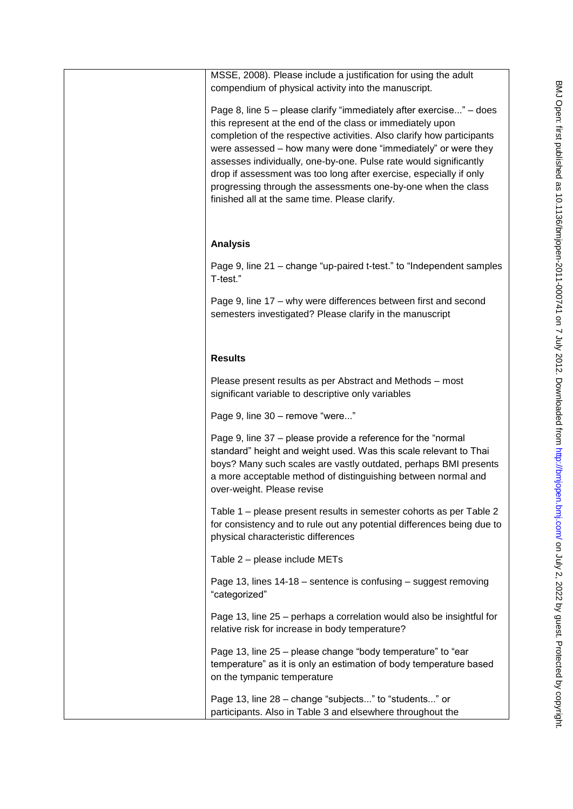| MSSE, 2008). Please include a justification for using the adult<br>compendium of physical activity into the manuscript.                                                                                                                                                                                                                                                                                                                                                                                                                    |
|--------------------------------------------------------------------------------------------------------------------------------------------------------------------------------------------------------------------------------------------------------------------------------------------------------------------------------------------------------------------------------------------------------------------------------------------------------------------------------------------------------------------------------------------|
| Page 8, line 5 – please clarify "immediately after exercise" – does<br>this represent at the end of the class or immediately upon<br>completion of the respective activities. Also clarify how participants<br>were assessed - how many were done "immediately" or were they<br>assesses individually, one-by-one. Pulse rate would significantly<br>drop if assessment was too long after exercise, especially if only<br>progressing through the assessments one-by-one when the class<br>finished all at the same time. Please clarify. |
| <b>Analysis</b>                                                                                                                                                                                                                                                                                                                                                                                                                                                                                                                            |
| Page 9, line 21 – change "up-paired t-test." to "Independent samples<br>T-test."                                                                                                                                                                                                                                                                                                                                                                                                                                                           |
| Page 9, line 17 – why were differences between first and second<br>semesters investigated? Please clarify in the manuscript                                                                                                                                                                                                                                                                                                                                                                                                                |
|                                                                                                                                                                                                                                                                                                                                                                                                                                                                                                                                            |
| <b>Results</b>                                                                                                                                                                                                                                                                                                                                                                                                                                                                                                                             |
| Please present results as per Abstract and Methods – most<br>significant variable to descriptive only variables                                                                                                                                                                                                                                                                                                                                                                                                                            |
| Page 9, line 30 - remove "were"                                                                                                                                                                                                                                                                                                                                                                                                                                                                                                            |
| Page 9, line 37 – please provide a reference for the "normal<br>standard" height and weight used. Was this scale relevant to Thai<br>boys? Many such scales are vastly outdated, perhaps BMI presents<br>a more acceptable method of distinguishing between normal and<br>over-weight. Please revise                                                                                                                                                                                                                                       |
| Table 1 – please present results in semester cohorts as per Table 2<br>for consistency and to rule out any potential differences being due to<br>physical characteristic differences                                                                                                                                                                                                                                                                                                                                                       |
| Table 2 – please include METs                                                                                                                                                                                                                                                                                                                                                                                                                                                                                                              |
| Page 13, lines 14-18 - sentence is confusing - suggest removing<br>"categorized"                                                                                                                                                                                                                                                                                                                                                                                                                                                           |
| Page 13, line 25 – perhaps a correlation would also be insightful for<br>relative risk for increase in body temperature?                                                                                                                                                                                                                                                                                                                                                                                                                   |
| Page 13, line 25 – please change "body temperature" to "ear<br>temperature" as it is only an estimation of body temperature based<br>on the tympanic temperature                                                                                                                                                                                                                                                                                                                                                                           |
| Page 13, line 28 – change "subjects" to "students" or<br>participants. Also in Table 3 and elsewhere throughout the                                                                                                                                                                                                                                                                                                                                                                                                                        |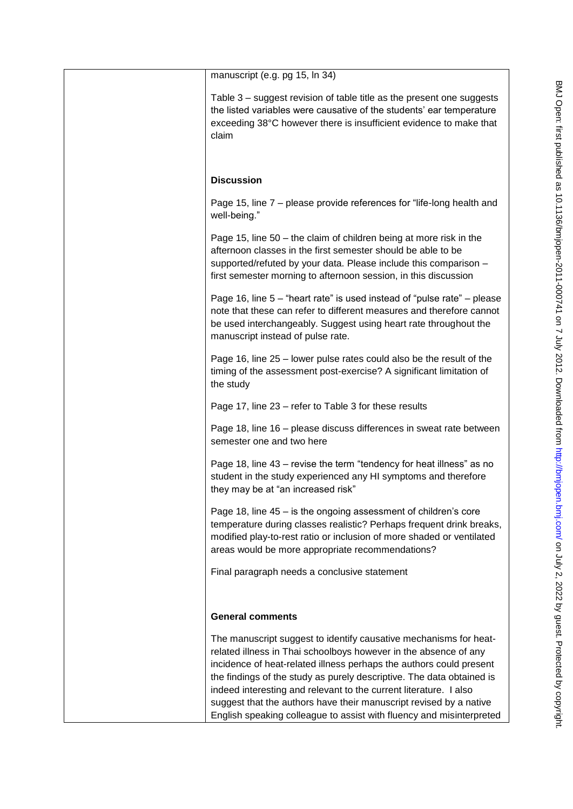| manuscript (e.g. pg 15, ln 34)                                                                                                                                                                                                                                                                                                                                                                                                                                                                           |
|----------------------------------------------------------------------------------------------------------------------------------------------------------------------------------------------------------------------------------------------------------------------------------------------------------------------------------------------------------------------------------------------------------------------------------------------------------------------------------------------------------|
| Table 3 – suggest revision of table title as the present one suggests<br>the listed variables were causative of the students' ear temperature<br>exceeding 38°C however there is insufficient evidence to make that<br>claim                                                                                                                                                                                                                                                                             |
| <b>Discussion</b>                                                                                                                                                                                                                                                                                                                                                                                                                                                                                        |
| Page 15, line 7 – please provide references for "life-long health and<br>well-being."                                                                                                                                                                                                                                                                                                                                                                                                                    |
| Page 15, line 50 – the claim of children being at more risk in the<br>afternoon classes in the first semester should be able to be<br>supported/refuted by your data. Please include this comparison -<br>first semester morning to afternoon session, in this discussion                                                                                                                                                                                                                                |
| Page 16, line 5 – "heart rate" is used instead of "pulse rate" – please<br>note that these can refer to different measures and therefore cannot<br>be used interchangeably. Suggest using heart rate throughout the<br>manuscript instead of pulse rate.                                                                                                                                                                                                                                                 |
| Page 16, line 25 – lower pulse rates could also be the result of the<br>timing of the assessment post-exercise? A significant limitation of<br>the study                                                                                                                                                                                                                                                                                                                                                 |
| Page 17, line 23 - refer to Table 3 for these results                                                                                                                                                                                                                                                                                                                                                                                                                                                    |
| Page 18, line 16 - please discuss differences in sweat rate between<br>semester one and two here                                                                                                                                                                                                                                                                                                                                                                                                         |
| Page 18, line 43 – revise the term "tendency for heat illness" as no<br>student in the study experienced any HI symptoms and therefore<br>they may be at "an increased risk"                                                                                                                                                                                                                                                                                                                             |
| Page 18, line 45 – is the ongoing assessment of children's core<br>temperature during classes realistic? Perhaps frequent drink breaks,<br>modified play-to-rest ratio or inclusion of more shaded or ventilated<br>areas would be more appropriate recommendations?                                                                                                                                                                                                                                     |
| Final paragraph needs a conclusive statement                                                                                                                                                                                                                                                                                                                                                                                                                                                             |
| <b>General comments</b>                                                                                                                                                                                                                                                                                                                                                                                                                                                                                  |
| The manuscript suggest to identify causative mechanisms for heat-<br>related illness in Thai schoolboys however in the absence of any<br>incidence of heat-related illness perhaps the authors could present<br>the findings of the study as purely descriptive. The data obtained is<br>indeed interesting and relevant to the current literature. I also<br>suggest that the authors have their manuscript revised by a native<br>English speaking colleague to assist with fluency and misinterpreted |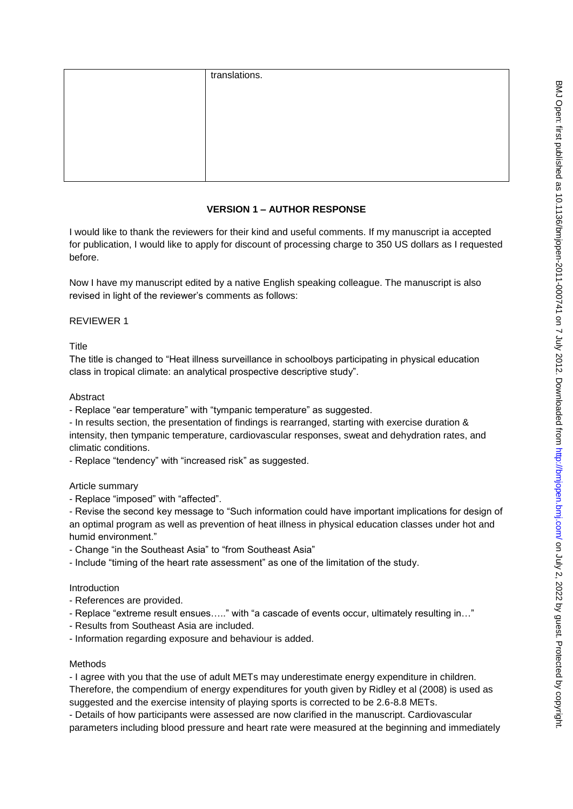| translations. |
|---------------|
|               |
|               |
|               |
|               |
|               |
|               |

### **VERSION 1 – AUTHOR RESPONSE**

I would like to thank the reviewers for their kind and useful comments. If my manuscript ia accepted for publication, I would like to apply for discount of processing charge to 350 US dollars as I requested before.

Now I have my manuscript edited by a native English speaking colleague. The manuscript is also revised in light of the reviewer's comments as follows:

### REVIEWER 1

**Title** 

The title is changed to "Heat illness surveillance in schoolboys participating in physical education class in tropical climate: an analytical prospective descriptive study".

### Abstract

- Replace "ear temperature" with "tympanic temperature" as suggested.

- In results section, the presentation of findings is rearranged, starting with exercise duration & intensity, then tympanic temperature, cardiovascular responses, sweat and dehydration rates, and climatic conditions.

- Replace "tendency" with "increased risk" as suggested.

#### Article summary

- Replace "imposed" with "affected".

- Revise the second key message to "Such information could have important implications for design of an optimal program as well as prevention of heat illness in physical education classes under hot and humid environment."

- Change "in the Southeast Asia" to "from Southeast Asia"

- Include "timing of the heart rate assessment" as one of the limitation of the study.

#### Introduction

- References are provided.
- Replace "extreme result ensues….." with "a cascade of events occur, ultimately resulting in…"
- Results from Southeast Asia are included.
- Information regarding exposure and behaviour is added.

#### Methods

- I agree with you that the use of adult METs may underestimate energy expenditure in children. Therefore, the compendium of energy expenditures for youth given by Ridley et al (2008) is used as suggested and the exercise intensity of playing sports is corrected to be 2.6-8.8 METs.

- Details of how participants were assessed are now clarified in the manuscript. Cardiovascular parameters including blood pressure and heart rate were measured at the beginning and immediately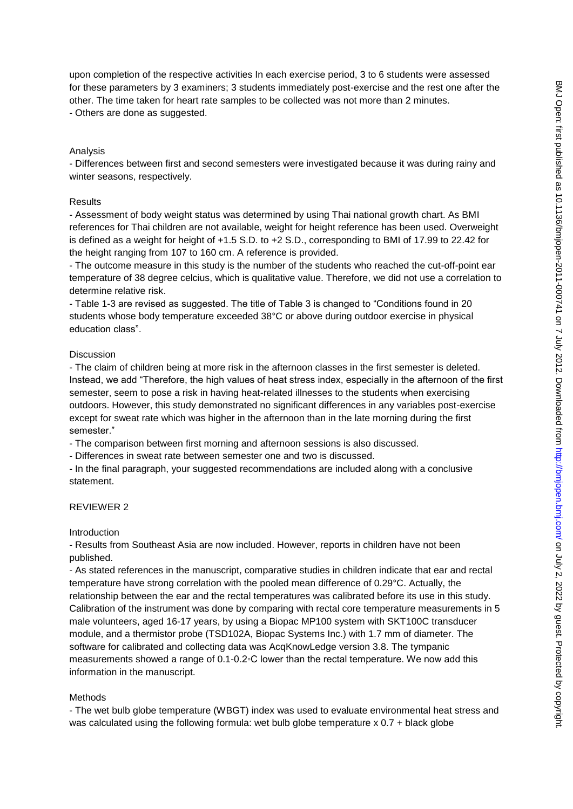upon completion of the respective activities In each exercise period, 3 to 6 students were assessed for these parameters by 3 examiners; 3 students immediately post-exercise and the rest one after the other. The time taken for heart rate samples to be collected was not more than 2 minutes. - Others are done as suggested.

#### Analysis

- Differences between first and second semesters were investigated because it was during rainy and winter seasons, respectively.

#### Results

- Assessment of body weight status was determined by using Thai national growth chart. As BMI references for Thai children are not available, weight for height reference has been used. Overweight is defined as a weight for height of +1.5 S.D. to +2 S.D., corresponding to BMI of 17.99 to 22.42 for the height ranging from 107 to 160 cm. A reference is provided.

- The outcome measure in this study is the number of the students who reached the cut-off-point ear temperature of 38 degree celcius, which is qualitative value. Therefore, we did not use a correlation to determine relative risk.

- Table 1-3 are revised as suggested. The title of Table 3 is changed to "Conditions found in 20 students whose body temperature exceeded 38°C or above during outdoor exercise in physical education class".

#### Discussion

- The claim of children being at more risk in the afternoon classes in the first semester is deleted. Instead, we add "Therefore, the high values of heat stress index, especially in the afternoon of the first semester, seem to pose a risk in having heat-related illnesses to the students when exercising outdoors. However, this study demonstrated no significant differences in any variables post-exercise except for sweat rate which was higher in the afternoon than in the late morning during the first semester."

- The comparison between first morning and afternoon sessions is also discussed.

- Differences in sweat rate between semester one and two is discussed.

- In the final paragraph, your suggested recommendations are included along with a conclusive statement.

#### REVIEWER 2

Introduction

- Results from Southeast Asia are now included. However, reports in children have not been published.

- As stated references in the manuscript, comparative studies in children indicate that ear and rectal temperature have strong correlation with the pooled mean difference of 0.29°C. Actually, the relationship between the ear and the rectal temperatures was calibrated before its use in this study. Calibration of the instrument was done by comparing with rectal core temperature measurements in 5 male volunteers, aged 16-17 years, by using a Biopac MP100 system with SKT100C transducer module, and a thermistor probe (TSD102A, Biopac Systems Inc.) with 1.7 mm of diameter. The software for calibrated and collecting data was AcqKnowLedge version 3.8. The tympanic measurements showed a range of 0.1-0.2◦C lower than the rectal temperature. We now add this information in the manuscript.

#### Methods

- The wet bulb globe temperature (WBGT) index was used to evaluate environmental heat stress and was calculated using the following formula: wet bulb globe temperature x 0.7 + black globe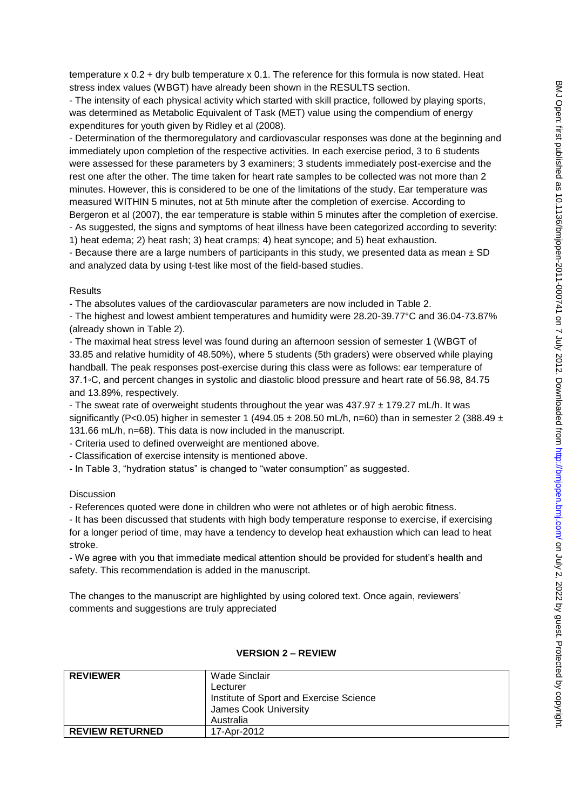temperature x 0.2 + dry bulb temperature x 0.1. The reference for this formula is now stated. Heat stress index values (WBGT) have already been shown in the RESULTS section.

- The intensity of each physical activity which started with skill practice, followed by playing sports, was determined as Metabolic Equivalent of Task (MET) value using the compendium of energy expenditures for youth given by Ridley et al (2008).

- Determination of the thermoregulatory and cardiovascular responses was done at the beginning and immediately upon completion of the respective activities. In each exercise period, 3 to 6 students were assessed for these parameters by 3 examiners; 3 students immediately post-exercise and the rest one after the other. The time taken for heart rate samples to be collected was not more than 2 minutes. However, this is considered to be one of the limitations of the study. Ear temperature was measured WITHIN 5 minutes, not at 5th minute after the completion of exercise. According to Bergeron et al (2007), the ear temperature is stable within 5 minutes after the completion of exercise. - As suggested, the signs and symptoms of heat illness have been categorized according to severity: 1) heat edema; 2) heat rash; 3) heat cramps; 4) heat syncope; and 5) heat exhaustion.

- Because there are a large numbers of participants in this study, we presented data as mean  $\pm$  SD and analyzed data by using t-test like most of the field-based studies.

### Results

- The absolutes values of the cardiovascular parameters are now included in Table 2.

- The highest and lowest ambient temperatures and humidity were 28.20-39.77°C and 36.04-73.87% (already shown in Table 2).

- The maximal heat stress level was found during an afternoon session of semester 1 (WBGT of 33.85 and relative humidity of 48.50%), where 5 students (5th graders) were observed while playing handball. The peak responses post-exercise during this class were as follows: ear temperature of 37.1◦C, and percent changes in systolic and diastolic blood pressure and heart rate of 56.98, 84.75 and 13.89%, respectively.

- The sweat rate of overweight students throughout the year was  $437.97 \pm 179.27$  mL/h. It was significantly (P<0.05) higher in semester 1 (494.05  $\pm$  208.50 mL/h, n=60) than in semester 2 (388.49  $\pm$ 131.66 mL/h, n=68). This data is now included in the manuscript.

- Criteria used to defined overweight are mentioned above.

- Classification of exercise intensity is mentioned above.

- In Table 3, "hydration status" is changed to "water consumption" as suggested.

#### **Discussion**

- References quoted were done in children who were not athletes or of high aerobic fitness.

- It has been discussed that students with high body temperature response to exercise, if exercising for a longer period of time, may have a tendency to develop heat exhaustion which can lead to heat stroke.

- We agree with you that immediate medical attention should be provided for student's health and safety. This recommendation is added in the manuscript.

The changes to the manuscript are highlighted by using colored text. Once again, reviewers' comments and suggestions are truly appreciated

| <b>REVIEWER</b>        | Wade Sinclair<br>Lecturer<br>Institute of Sport and Exercise Science<br>James Cook University<br>Australia |
|------------------------|------------------------------------------------------------------------------------------------------------|
| <b>REVIEW RETURNED</b> | 17-Apr-2012                                                                                                |

### **VERSION 2 – REVIEW**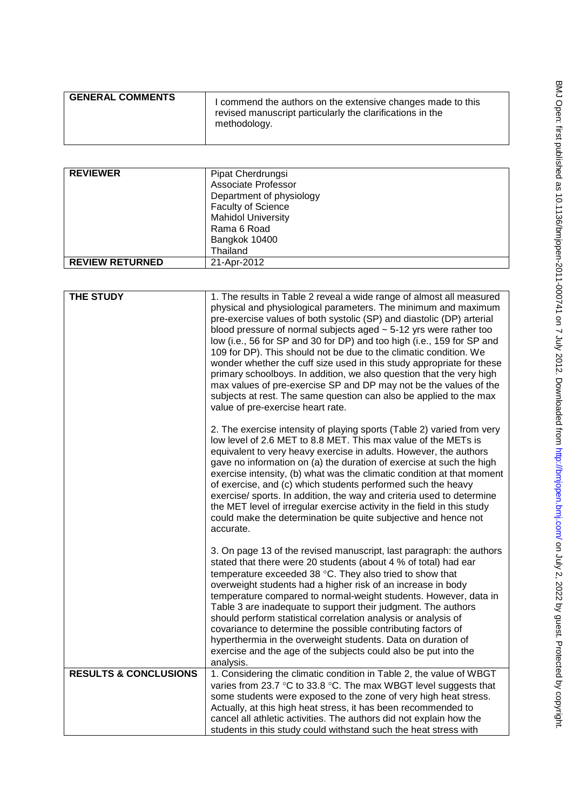| <b>GENERAL COMMENTS</b> | I commend the authors on the extensive changes made to this<br>revised manuscript particularly the clarifications in the<br>methodology. |
|-------------------------|------------------------------------------------------------------------------------------------------------------------------------------|
|                         |                                                                                                                                          |

| <b>REVIEWER</b>        | Pipat Cherdrungsi         |
|------------------------|---------------------------|
|                        | Associate Professor       |
|                        | Department of physiology  |
|                        | <b>Faculty of Science</b> |
|                        | <b>Mahidol University</b> |
|                        | Rama 6 Road               |
|                        | Bangkok 10400             |
|                        | Thailand                  |
| <b>REVIEW RETURNED</b> | 21-Apr-2012               |
|                        |                           |

| THE STUDY                        | 1. The results in Table 2 reveal a wide range of almost all measured<br>physical and physiological parameters. The minimum and maximum<br>pre-exercise values of both systolic (SP) and diastolic (DP) arterial<br>blood pressure of normal subjects aged $\sim$ 5-12 yrs were rather too<br>low (i.e., 56 for SP and 30 for DP) and too high (i.e., 159 for SP and<br>109 for DP). This should not be due to the climatic condition. We<br>wonder whether the cuff size used in this study appropriate for these<br>primary schoolboys. In addition, we also question that the very high<br>max values of pre-exercise SP and DP may not be the values of the<br>subjects at rest. The same question can also be applied to the max<br>value of pre-exercise heart rate. |
|----------------------------------|---------------------------------------------------------------------------------------------------------------------------------------------------------------------------------------------------------------------------------------------------------------------------------------------------------------------------------------------------------------------------------------------------------------------------------------------------------------------------------------------------------------------------------------------------------------------------------------------------------------------------------------------------------------------------------------------------------------------------------------------------------------------------|
|                                  | 2. The exercise intensity of playing sports (Table 2) varied from very<br>low level of 2.6 MET to 8.8 MET. This max value of the METs is<br>equivalent to very heavy exercise in adults. However, the authors<br>gave no information on (a) the duration of exercise at such the high<br>exercise intensity, (b) what was the climatic condition at that moment<br>of exercise, and (c) which students performed such the heavy<br>exercise/ sports. In addition, the way and criteria used to determine<br>the MET level of irregular exercise activity in the field in this study<br>could make the determination be quite subjective and hence not<br>accurate.                                                                                                        |
|                                  | 3. On page 13 of the revised manuscript, last paragraph: the authors<br>stated that there were 20 students (about 4 % of total) had ear<br>temperature exceeded 38 °C. They also tried to show that<br>overweight students had a higher risk of an increase in body<br>temperature compared to normal-weight students. However, data in<br>Table 3 are inadequate to support their judgment. The authors<br>should perform statistical correlation analysis or analysis of<br>covariance to determine the possible contributing factors of<br>hyperthermia in the overweight students. Data on duration of<br>exercise and the age of the subjects could also be put into the<br>analysis.                                                                                |
| <b>RESULTS &amp; CONCLUSIONS</b> | 1. Considering the climatic condition in Table 2, the value of WBGT<br>varies from 23.7 °C to 33.8 °C. The max WBGT level suggests that                                                                                                                                                                                                                                                                                                                                                                                                                                                                                                                                                                                                                                   |
|                                  | some students were exposed to the zone of very high heat stress.<br>Actually, at this high heat stress, it has been recommended to                                                                                                                                                                                                                                                                                                                                                                                                                                                                                                                                                                                                                                        |
|                                  | cancel all athletic activities. The authors did not explain how the<br>students in this study could withstand such the heat stress with                                                                                                                                                                                                                                                                                                                                                                                                                                                                                                                                                                                                                                   |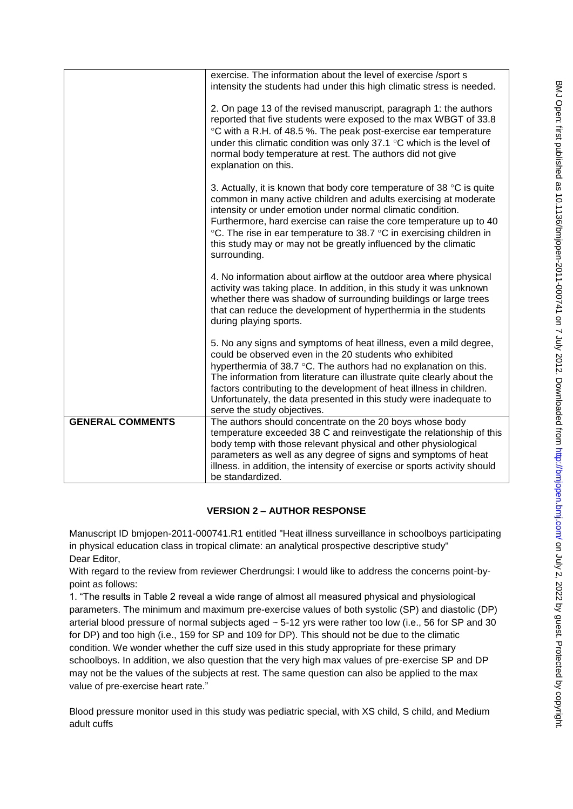|                         | exercise. The information about the level of exercise /sport s<br>intensity the students had under this high climatic stress is needed.                                                                                                                                                                                                                                                                                                                 |
|-------------------------|---------------------------------------------------------------------------------------------------------------------------------------------------------------------------------------------------------------------------------------------------------------------------------------------------------------------------------------------------------------------------------------------------------------------------------------------------------|
|                         | 2. On page 13 of the revised manuscript, paragraph 1: the authors<br>reported that five students were exposed to the max WBGT of 33.8<br>°C with a R.H. of 48.5 %. The peak post-exercise ear temperature<br>under this climatic condition was only 37.1 °C which is the level of<br>normal body temperature at rest. The authors did not give<br>explanation on this.                                                                                  |
|                         | 3. Actually, it is known that body core temperature of 38 $\degree$ C is quite<br>common in many active children and adults exercising at moderate<br>intensity or under emotion under normal climatic condition.<br>Furthermore, hard exercise can raise the core temperature up to 40<br>°C. The rise in ear temperature to 38.7 °C in exercising children in<br>this study may or may not be greatly influenced by the climatic<br>surrounding.      |
|                         | 4. No information about airflow at the outdoor area where physical<br>activity was taking place. In addition, in this study it was unknown<br>whether there was shadow of surrounding buildings or large trees<br>that can reduce the development of hyperthermia in the students<br>during playing sports.                                                                                                                                             |
|                         | 5. No any signs and symptoms of heat illness, even a mild degree,<br>could be observed even in the 20 students who exhibited<br>hyperthermia of 38.7 °C. The authors had no explanation on this.<br>The information from literature can illustrate quite clearly about the<br>factors contributing to the development of heat illness in children.<br>Unfortunately, the data presented in this study were inadequate to<br>serve the study objectives. |
| <b>GENERAL COMMENTS</b> | The authors should concentrate on the 20 boys whose body<br>temperature exceeded 38 C and reinvestigate the relationship of this<br>body temp with those relevant physical and other physiological<br>parameters as well as any degree of signs and symptoms of heat<br>illness. in addition, the intensity of exercise or sports activity should<br>be standardized.                                                                                   |

# **VERSION 2 – AUTHOR RESPONSE**

Manuscript ID bmjopen-2011-000741.R1 entitled "Heat illness surveillance in schoolboys participating in physical education class in tropical climate: an analytical prospective descriptive study" Dear Editor,

With regard to the review from reviewer Cherdrungsi: I would like to address the concerns point-bypoint as follows:

1. "The results in Table 2 reveal a wide range of almost all measured physical and physiological parameters. The minimum and maximum pre-exercise values of both systolic (SP) and diastolic (DP) arterial blood pressure of normal subjects aged ~ 5-12 yrs were rather too low (i.e., 56 for SP and 30 for DP) and too high (i.e., 159 for SP and 109 for DP). This should not be due to the climatic condition. We wonder whether the cuff size used in this study appropriate for these primary schoolboys. In addition, we also question that the very high max values of pre-exercise SP and DP may not be the values of the subjects at rest. The same question can also be applied to the max value of pre-exercise heart rate."

Blood pressure monitor used in this study was pediatric special, with XS child, S child, and Medium adult cuffs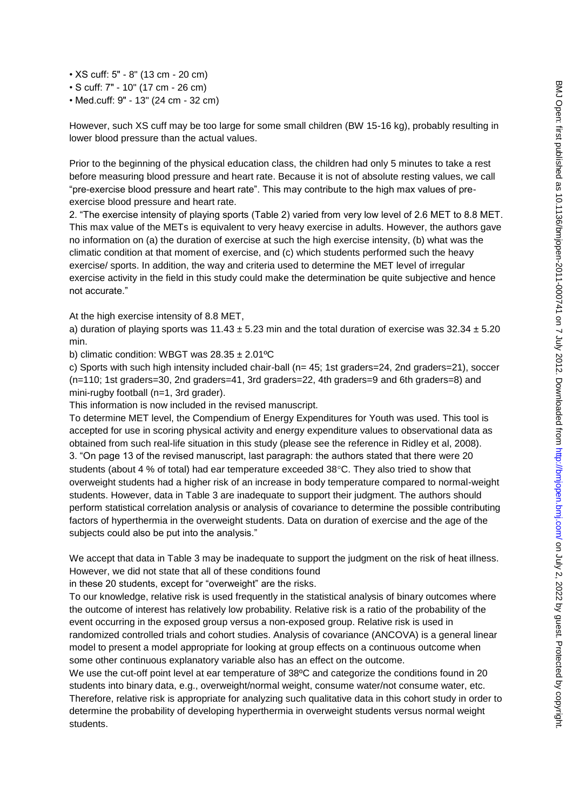• XS cuff: 5" - 8" (13 cm - 20 cm)

• S cuff: 7" - 10" (17 cm - 26 cm)

• Med.cuff: 9" - 13" (24 cm - 32 cm)

However, such XS cuff may be too large for some small children (BW 15-16 kg), probably resulting in lower blood pressure than the actual values.

Prior to the beginning of the physical education class, the children had only 5 minutes to take a rest before measuring blood pressure and heart rate. Because it is not of absolute resting values, we call "pre-exercise blood pressure and heart rate". This may contribute to the high max values of preexercise blood pressure and heart rate.

2. "The exercise intensity of playing sports (Table 2) varied from very low level of 2.6 MET to 8.8 MET. This max value of the METs is equivalent to very heavy exercise in adults. However, the authors gave no information on (a) the duration of exercise at such the high exercise intensity, (b) what was the climatic condition at that moment of exercise, and (c) which students performed such the heavy exercise/ sports. In addition, the way and criteria used to determine the MET level of irregular exercise activity in the field in this study could make the determination be quite subjective and hence not accurate."

At the high exercise intensity of 8.8 MET,

a) duration of playing sports was  $11.43 \pm 5.23$  min and the total duration of exercise was  $32.34 \pm 5.20$ min.

b) climatic condition: WBGT was  $28.35 \pm 2.01$ <sup>o</sup>C

c) Sports with such high intensity included chair-ball (n= 45; 1st graders=24, 2nd graders=21), soccer (n=110; 1st graders=30, 2nd graders=41, 3rd graders=22, 4th graders=9 and 6th graders=8) and mini-rugby football (n=1, 3rd grader).

This information is now included in the revised manuscript.

To determine MET level, the Compendium of Energy Expenditures for Youth was used. This tool is accepted for use in scoring physical activity and energy expenditure values to observational data as obtained from such real-life situation in this study (please see the reference in Ridley et al, 2008). 3. "On page 13 of the revised manuscript, last paragraph: the authors stated that there were 20 students (about 4 % of total) had ear temperature exceeded  $38^{\circ}$ C. They also tried to show that overweight students had a higher risk of an increase in body temperature compared to normal-weight students. However, data in Table 3 are inadequate to support their judgment. The authors should perform statistical correlation analysis or analysis of covariance to determine the possible contributing factors of hyperthermia in the overweight students. Data on duration of exercise and the age of the subjects could also be put into the analysis."

We accept that data in Table 3 may be inadequate to support the judgment on the risk of heat illness. However, we did not state that all of these conditions found

in these 20 students, except for "overweight" are the risks.

To our knowledge, relative risk is used frequently in the statistical analysis of binary outcomes where the outcome of interest has relatively low probability. Relative risk is a ratio of the probability of the event occurring in the exposed group versus a non-exposed group. Relative risk is used in randomized controlled trials and cohort studies. Analysis of covariance (ANCOVA) is a general linear model to present a model appropriate for looking at group effects on a continuous outcome when some other continuous explanatory variable also has an effect on the outcome.

We use the cut-off point level at ear temperature of 38ºC and categorize the conditions found in 20 students into binary data, e.g., overweight/normal weight, consume water/not consume water, etc. Therefore, relative risk is appropriate for analyzing such qualitative data in this cohort study in order to determine the probability of developing hyperthermia in overweight students versus normal weight students.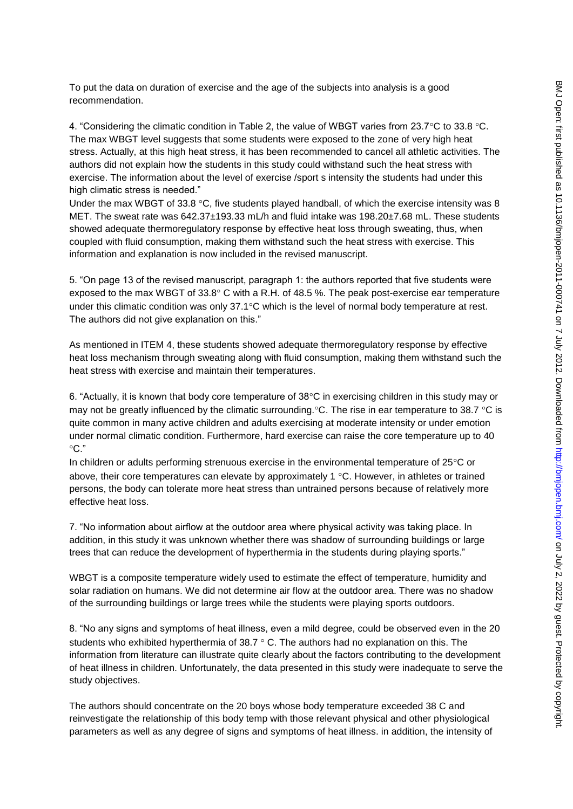To put the data on duration of exercise and the age of the subjects into analysis is a good recommendation.

4. "Considering the climatic condition in Table 2, the value of WBGT varies from 23.7°C to 33.8 °C. The max WBGT level suggests that some students were exposed to the zone of very high heat stress. Actually, at this high heat stress, it has been recommended to cancel all athletic activities. The authors did not explain how the students in this study could withstand such the heat stress with exercise. The information about the level of exercise /sport s intensity the students had under this high climatic stress is needed."

Under the max WBGT of 33.8  $\degree$ C, five students played handball, of which the exercise intensity was 8 MET. The sweat rate was 642.37±193.33 mL/h and fluid intake was 198.20±7.68 mL. These students showed adequate thermoregulatory response by effective heat loss through sweating, thus, when coupled with fluid consumption, making them withstand such the heat stress with exercise. This information and explanation is now included in the revised manuscript.

5. "On page 13 of the revised manuscript, paragraph 1: the authors reported that five students were exposed to the max WBGT of  $33.8^{\circ}$  C with a R.H. of 48.5 %. The peak post-exercise ear temperature under this climatic condition was only  $37.1^{\circ}$ C which is the level of normal body temperature at rest. The authors did not give explanation on this."

As mentioned in ITEM 4, these students showed adequate thermoregulatory response by effective heat loss mechanism through sweating along with fluid consumption, making them withstand such the heat stress with exercise and maintain their temperatures.

6. "Actually, it is known that body core temperature of  $38^{\circ}$ C in exercising children in this study may or may not be greatly influenced by the climatic surrounding.  $\degree$ C. The rise in ear temperature to 38.7  $\degree$ C is quite common in many active children and adults exercising at moderate intensity or under emotion under normal climatic condition. Furthermore, hard exercise can raise the core temperature up to 40  $^{\circ}$ C."

In children or adults performing strenuous exercise in the environmental temperature of  $25^{\circ}$ C or above, their core temperatures can elevate by approximately 1  $\degree$ C. However, in athletes or trained persons, the body can tolerate more heat stress than untrained persons because of relatively more effective heat loss.

7. "No information about airflow at the outdoor area where physical activity was taking place. In addition, in this study it was unknown whether there was shadow of surrounding buildings or large trees that can reduce the development of hyperthermia in the students during playing sports."

WBGT is a composite temperature widely used to estimate the effect of temperature, humidity and solar radiation on humans. We did not determine air flow at the outdoor area. There was no shadow of the surrounding buildings or large trees while the students were playing sports outdoors.

8. "No any signs and symptoms of heat illness, even a mild degree, could be observed even in the 20 students who exhibited hyperthermia of  $38.7 \degree$  C. The authors had no explanation on this. The information from literature can illustrate quite clearly about the factors contributing to the development of heat illness in children. Unfortunately, the data presented in this study were inadequate to serve the study objectives.

The authors should concentrate on the 20 boys whose body temperature exceeded 38 C and reinvestigate the relationship of this body temp with those relevant physical and other physiological parameters as well as any degree of signs and symptoms of heat illness. in addition, the intensity of